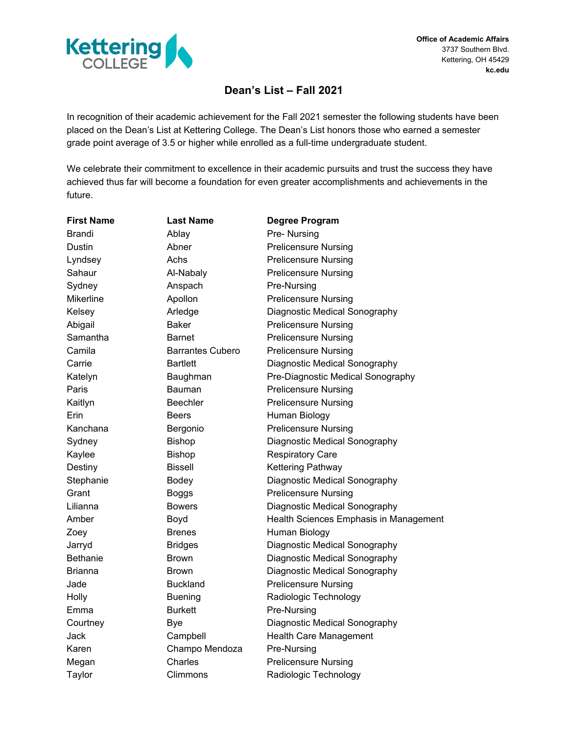

**Office of Academic Affairs** 3737 Southern Blvd. Kettering, OH 45429 **kc.edu**

## **Dean's List – Fall 2021**

In recognition of their academic achievement for the Fall 2021 semester the following students have been placed on the Dean's List at Kettering College. The Dean's List honors those who earned a semester grade point average of 3.5 or higher while enrolled as a full-time undergraduate student.

We celebrate their commitment to excellence in their academic pursuits and trust the success they have achieved thus far will become a foundation for even greater accomplishments and achievements in the future.

| <b>First Name</b> | <b>Last Name</b>        | Degree Program                         |
|-------------------|-------------------------|----------------------------------------|
| <b>Brandi</b>     | Ablay                   | Pre- Nursing                           |
| Dustin            | Abner                   | <b>Prelicensure Nursing</b>            |
| Lyndsey           | Achs                    | <b>Prelicensure Nursing</b>            |
| Sahaur            | Al-Nabaly               | <b>Prelicensure Nursing</b>            |
| Sydney            | Anspach                 | Pre-Nursing                            |
| Mikerline         | Apollon                 | <b>Prelicensure Nursing</b>            |
| Kelsey            | Arledge                 | Diagnostic Medical Sonography          |
| Abigail           | <b>Baker</b>            | <b>Prelicensure Nursing</b>            |
| Samantha          | Barnet                  | <b>Prelicensure Nursing</b>            |
| Camila            | <b>Barrantes Cubero</b> | <b>Prelicensure Nursing</b>            |
| Carrie            | <b>Bartlett</b>         | Diagnostic Medical Sonography          |
| Katelyn           | Baughman                | Pre-Diagnostic Medical Sonography      |
| Paris             | Bauman                  | <b>Prelicensure Nursing</b>            |
| Kaitlyn           | <b>Beechler</b>         | <b>Prelicensure Nursing</b>            |
| Erin              | <b>Beers</b>            | Human Biology                          |
| Kanchana          | Bergonio                | <b>Prelicensure Nursing</b>            |
| Sydney            | <b>Bishop</b>           | Diagnostic Medical Sonography          |
| Kaylee            | <b>Bishop</b>           | <b>Respiratory Care</b>                |
| Destiny           | <b>Bissell</b>          | Kettering Pathway                      |
| Stephanie         | Bodey                   | Diagnostic Medical Sonography          |
| Grant             | <b>Boggs</b>            | <b>Prelicensure Nursing</b>            |
| Lilianna          | <b>Bowers</b>           | Diagnostic Medical Sonography          |
| Amber             | Boyd                    | Health Sciences Emphasis in Management |
| Zoey              | <b>Brenes</b>           | Human Biology                          |
| Jarryd            | <b>Bridges</b>          | Diagnostic Medical Sonography          |
| <b>Bethanie</b>   | <b>Brown</b>            | Diagnostic Medical Sonography          |
| <b>Brianna</b>    | Brown                   | Diagnostic Medical Sonography          |
| Jade              | <b>Buckland</b>         | <b>Prelicensure Nursing</b>            |
| Holly             | <b>Buening</b>          | Radiologic Technology                  |
| Emma              | Burkett                 | Pre-Nursing                            |
| Courtney          | <b>Bye</b>              | Diagnostic Medical Sonography          |
| Jack              | Campbell                | Health Care Management                 |
| Karen             | Champo Mendoza          | Pre-Nursing                            |
| Megan             | Charles                 | <b>Prelicensure Nursing</b>            |
| Taylor            | Climmons                | Radiologic Technology                  |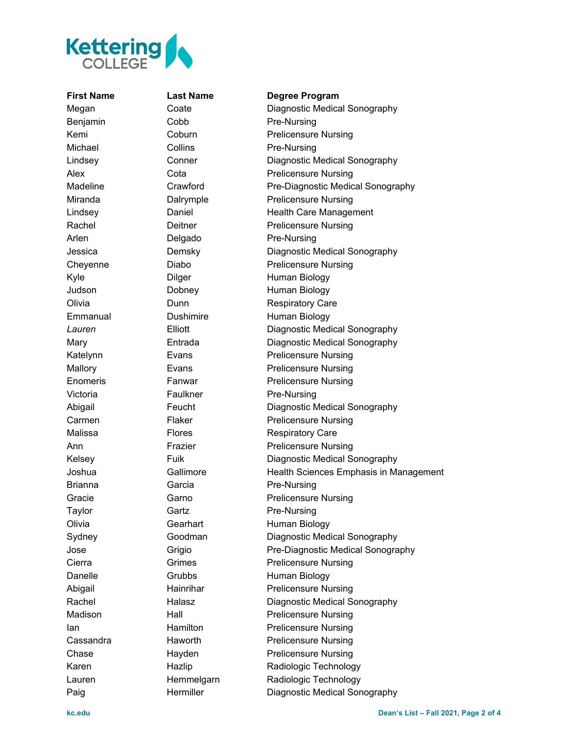

## **First Name Last Name Degree Program**

Megan Coate Diagnostic Medical Sonography Benjamin Cobb Pre-Nursing Kemi Coburn Prelicensure Nursing Michael Collins Collins Pre-Nursing Lindsey Conner Diagnostic Medical Sonography Alex Cota Cota Prelicensure Nursing Madeline Crawford Pre-Diagnostic Medical Sonography Miranda **Dalrymple** Prelicensure Nursing Lindsey **Daniel Care Management** Rachel **Deitner** Prelicensure Nursing Arlen Delgado Pre-Nursing Jessica Demsky Diagnostic Medical Sonography Chevenne Diabo Prelicensure Nursing Kyle **Dilger** Dilger Human Biology Judson Dobney Human Biology Olivia **Dunn** Dunn Respiratory Care Emmanual Dushimire Human Biology *Lauren* Elliott Diagnostic Medical Sonography Mary Entrada Diagnostic Medical Sonography Katelynn Evans Evans Prelicensure Nursing Mallory **Evans** Evans Prelicensure Nursing Enomeris Fanwar Prelicensure Nursing Victoria **Faulkner** Pre-Nursing Abigail Feucht Diagnostic Medical Sonography Carmen Flaker Prelicensure Nursing Malissa **Flores** Flores Respiratory Care Ann Frazier Prelicensure Nursing Kelsey Fuik Diagnostic Medical Sonography Joshua Gallimore Health Sciences Emphasis in Management Brianna **Garcia** Garcia **Pre-Nursing** Gracie **Garno** Garno **Prelicensure Nursing** Taylor Gartz Gartz Pre-Nursing Olivia **Gearhart** Human Biology Sydney Goodman Diagnostic Medical Sonography Jose Grigio Pre-Diagnostic Medical Sonography Cierra **Grimes** Grimes Prelicensure Nursing Danelle Grubbs Human Biology Abigail Hainrihar Prelicensure Nursing Rachel Halasz Diagnostic Medical Sonography Madison Hall Prelicensure Nursing **Ian Hamilton Prelicensure Nursing** Cassandra **Haworth** Prelicensure Nursing Chase **Hayden** Prelicensure Nursing Karen Hazlip Radiologic Technology Lauren Hemmelgarn Radiologic Technology Paig **Hermiller** Diagnostic Medical Sonography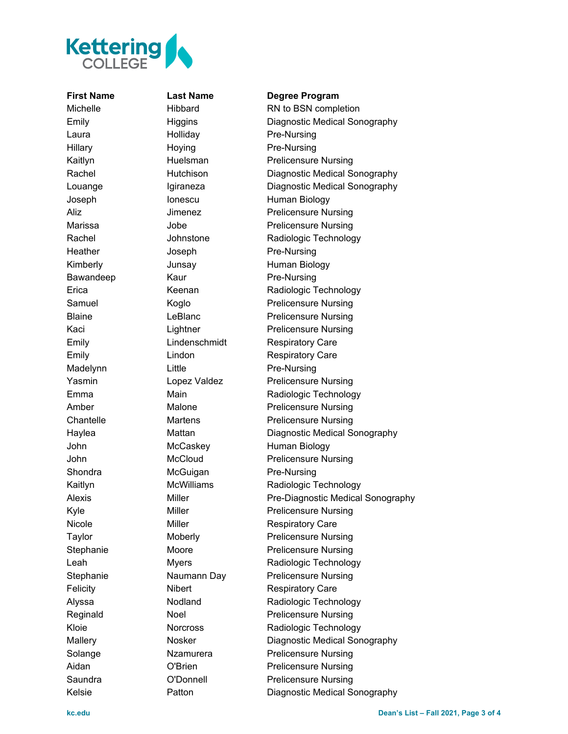

**First Name Last Name Degree Program**

## Laura **Holliday** Pre-Nursing Hillary Hoying Pre-Nursing Heather Joseph Pre-Nursing Bawandeep Kaur **Rangers** Re-Nursing Madelynn Little Pre-Nursing Shondra McGuigan Pre-Nursing

Michelle **Hibbard** RN to BSN completion Emily Higgins Diagnostic Medical Sonography Kaitlyn Huelsman Prelicensure Nursing Rachel Hutchison Diagnostic Medical Sonography Louange Igiraneza Diagnostic Medical Sonography Joseph Ionescu Human Biology Aliz Jimenez Prelicensure Nursing Marissa **Marissa** Jobe **Prelicensure Nursing** Rachel **Southern Johnstone** Radiologic Technology Kimberly **Junsay** Human Biology Erica Keenan Keenan Radiologic Technology Samuel Koglo Prelicensure Nursing Blaine LeBlanc Prelicensure Nursing Kaci **Lightner** Prelicensure Nursing Emily **Emily** Lindenschmidt Respiratory Care Emily **Emily** Lindon **Respiratory Care** Yasmin Lopez Valdez Prelicensure Nursing Emma Main Main Radiologic Technology Amber Malone Prelicensure Nursing Chantelle Martens Prelicensure Nursing Haylea Mattan Diagnostic Medical Sonography John McCaskey Human Biology John McCloud Prelicensure Nursing Kaitlyn McWilliams Radiologic Technology Alexis Miller Miller Pre-Diagnostic Medical Sonography Kyle Miller Miller Prelicensure Nursing Nicole Miller Miller Respiratory Care Taylor Moberly Prelicensure Nursing Stephanie Moore Prelicensure Nursing Leah Myers Radiologic Technology Stephanie Maumann Day Prelicensure Nursing Felicity **Nibert** Respiratory Care Alyssa Nodland Radiologic Technology Reginald Noel Prelicensure Nursing Kloie **Norcross** Radiologic Technology Mallery Nosker Diagnostic Medical Sonography Solange **Nzamurera** Prelicensure Nursing Aidan **O'Brien** Prelicensure Nursing Saundra **O'Donnell** Prelicensure Nursing Kelsie **Patton** Patton Diagnostic Medical Sonography